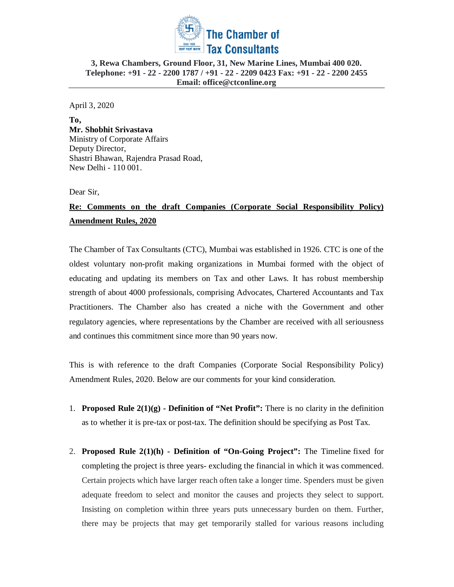

April 3, 2020

**To, Mr. Shobhit Srivastava**  Ministry of Corporate Affairs Deputy Director, Shastri Bhawan, Rajendra Prasad Road, New Delhi - 110 001.

Dear Sir,

# **Re: Comments on the draft Companies (Corporate Social Responsibility Policy) Amendment Rules, 2020**

The Chamber of Tax Consultants (CTC), Mumbai was established in 1926. CTC is one of the oldest voluntary non-profit making organizations in Mumbai formed with the object of educating and updating its members on Tax and other Laws. It has robust membership strength of about 4000 professionals, comprising Advocates, Chartered Accountants and Tax Practitioners. The Chamber also has created a niche with the Government and other regulatory agencies, where representations by the Chamber are received with all seriousness and continues this commitment since more than 90 years now.

This is with reference to the draft Companies (Corporate Social Responsibility Policy) Amendment Rules, 2020. Below are our comments for your kind consideration.

- 1. **Proposed Rule 2(1)(g) - Definition of "Net Profit":** There is no clarity in the definition as to whether it is pre-tax or post-tax. The definition should be specifying as Post Tax.
- 2. **Proposed Rule 2(1)(h) - Definition of "On-Going Project":** The Timeline fixed for completing the project is three years- excluding the financial in which it was commenced. Certain projects which have larger reach often take a longer time. Spenders must be given adequate freedom to select and monitor the causes and projects they select to support. Insisting on completion within three years puts unnecessary burden on them. Further, there may be projects that may get temporarily stalled for various reasons including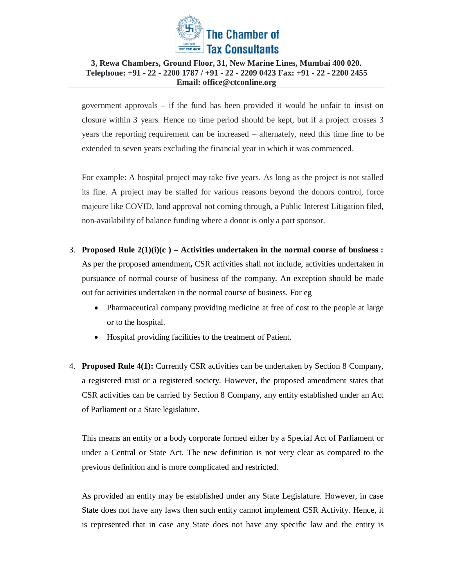

government approvals – if the fund has been provided it would be unfair to insist on closure within 3 years. Hence no time period should be kept, but if a project crosses 3 years the reporting requirement can be increased – alternately, need this time line to be extended to seven years excluding the financial year in which it was commenced.

For example: A hospital project may take five years. As long as the project is not stalled its fine. A project may be stalled for various reasons beyond the donors control, force majeure like COVID, land approval not coming through, a Public Interest Litigation filed, non-availability of balance funding where a donor is only a part sponsor.

- 3. **Proposed Rule 2(1)(i)(c ) – Activities undertaken in the normal course of business :**  As per the proposed amendment**,** CSR activities shall not include, activities undertaken in pursuance of normal course of business of the company. An exception should be made out for activities undertaken in the normal course of business. For eg
	- Pharmaceutical company providing medicine at free of cost to the people at large or to the hospital.
	- Hospital providing facilities to the treatment of Patient.
- 4. **Proposed Rule 4(1):** Currently CSR activities can be undertaken by Section 8 Company, a registered trust or a registered society. However, the proposed amendment states that CSR activities can be carried by Section 8 Company, any entity established under an Act of Parliament or a State legislature.

This means an entity or a body corporate formed either by a Special Act of Parliament or under a Central or State Act. The new definition is not very clear as compared to the previous definition and is more complicated and restricted.

As provided an entity may be established under any State Legislature. However, in case State does not have any laws then such entity cannot implement CSR Activity. Hence, it is represented that in case any State does not have any specific law and the entity is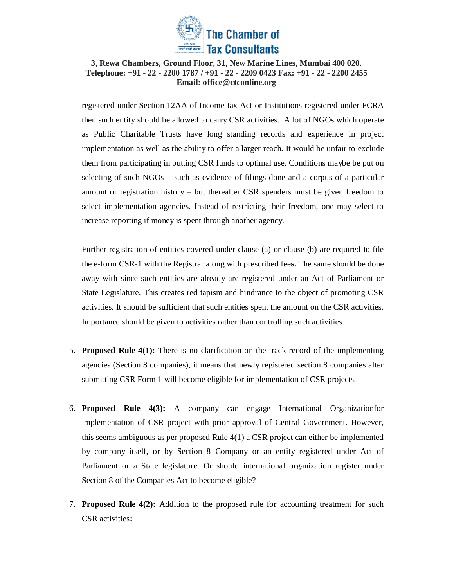

registered under Section 12AA of Income-tax Act or Institutions registered under FCRA then such entity should be allowed to carry CSR activities. A lot of NGOs which operate as Public Charitable Trusts have long standing records and experience in project implementation as well as the ability to offer a larger reach. It would be unfair to exclude them from participating in putting CSR funds to optimal use. Conditions maybe be put on selecting of such NGOs – such as evidence of filings done and a corpus of a particular amount or registration history – but thereafter CSR spenders must be given freedom to select implementation agencies. Instead of restricting their freedom, one may select to increase reporting if money is spent through another agency.

Further registration of entities covered under clause (a) or clause (b) are required to file the e-form CSR-1 with the Registrar along with prescribed fee**s.** The same should be done away with since such entities are already are registered under an Act of Parliament or State Legislature. This creates red tapism and hindrance to the object of promoting CSR activities. It should be sufficient that such entities spent the amount on the CSR activities. Importance should be given to activities rather than controlling such activities.

- 5. **Proposed Rule 4(1):** There is no clarification on the track record of the implementing agencies (Section 8 companies), it means that newly registered section 8 companies after submitting CSR Form 1 will become eligible for implementation of CSR projects.
- 6. **Proposed Rule 4(3):** A company can engage International Organizationfor implementation of CSR project with prior approval of Central Government. However, this seems ambiguous as per proposed Rule  $4(1)$  a CSR project can either be implemented by company itself, or by Section 8 Company or an entity registered under Act of Parliament or a State legislature. Or should international organization register under Section 8 of the Companies Act to become eligible?
- 7. **Proposed Rule 4(2):** Addition to the proposed rule for accounting treatment for such CSR activities: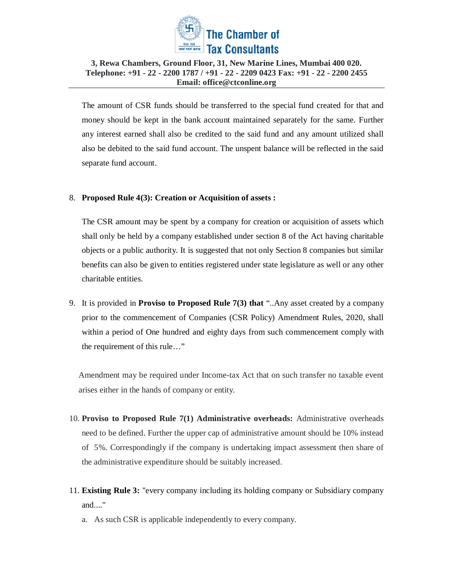

The amount of CSR funds should be transferred to the special fund created for that and money should be kept in the bank account maintained separately for the same. Further any interest earned shall also be credited to the said fund and any amount utilized shall also be debited to the said fund account. The unspent balance will be reflected in the said separate fund account.

### 8. **Proposed Rule 4(3): Creation or Acquisition of assets :**

The CSR amount may be spent by a company for creation or acquisition of assets which shall only be held by a company established under section 8 of the Act having charitable objects or a public authority. It is suggested that not only Section 8 companies but similar benefits can also be given to entities registered under state legislature as well or any other charitable entities.

9. It is provided in **Proviso to Proposed Rule 7(3) that** "..Any asset created by a company prior to the commencement of Companies (CSR Policy) Amendment Rules, 2020, shall within a period of One hundred and eighty days from such commencement comply with the requirement of this rule…"

Amendment may be required under Income-tax Act that on such transfer no taxable event arises either in the hands of company or entity.

- 10. **Proviso to Proposed Rule 7(1) Administrative overheads:** Administrative overheads need to be defined. Further the upper cap of administrative amount should be 10% instead of 5%. Correspondingly if the company is undertaking impact assessment then share of the administrative expenditure should be suitably increased.
- 11. **Existing Rule 3:** "every company including its holding company or Subsidiary company and...."
	- a. As such CSR is applicable independently to every company.